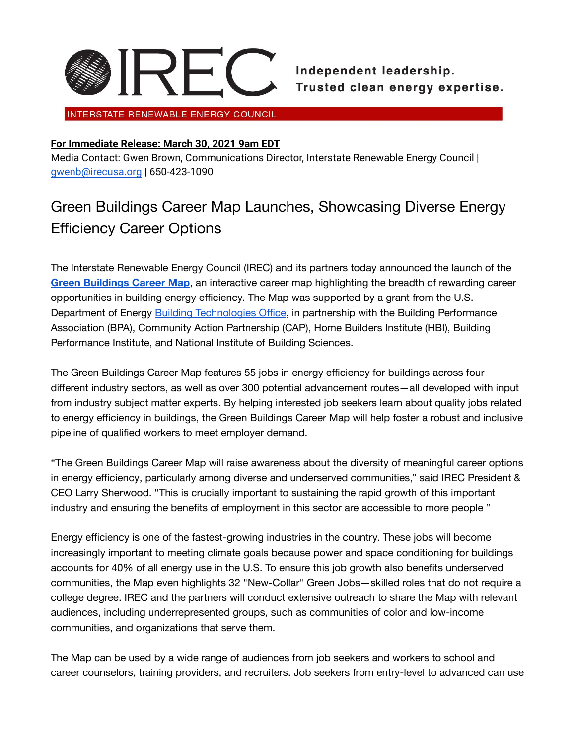

INTERSTATE RENEWABLE ENERGY COUNCIL

## **For Immediate Release: March 30, 2021 9am EDT**

Media Contact: Gwen Brown, Communications Director, Interstate Renewable Energy Council | [gwenb@irecusa.org](mailto:gwenb@irecusa.org) | 650-423-1090

## Green Buildings Career Map Launches, Showcasing Diverse Energy Efficiency Career Options

The Interstate Renewable Energy Council (IREC) and its partners today announced the launch of the **Green [Buildings](https://greenbuildingscareermap.org/) Career Map**, an interactive career map highlighting the breadth of rewarding career opportunities in building energy efficiency. The Map was supported by a grant from the U.S. Department of Energy Building [Technologies](https://energyefficiencyimpact.org/) Office, in partnership with the Building Performance Association (BPA), Community Action Partnership (CAP), Home Builders Institute (HBI), Building Performance Institute, and National Institute of Building Sciences.

The Green Buildings Career Map features 55 jobs in energy efficiency for buildings across four different industry sectors, as well as over 300 potential advancement routes—all developed with input from industry subject matter experts. By helping interested job seekers learn about quality jobs related to energy efficiency in buildings, the Green Buildings Career Map will help foster a robust and inclusive pipeline of qualified workers to meet employer demand.

"The Green Buildings Career Map will raise awareness about the diversity of meaningful career options in energy efficiency, particularly among diverse and underserved communities," said IREC President & CEO Larry Sherwood. "This is crucially important to sustaining the rapid growth of this important industry and ensuring the benefits of employment in this sector are accessible to more people "

Energy efficiency is one of the fastest-growing industries in the country. These jobs will become increasingly important to meeting climate goals because power and space conditioning for buildings accounts for 40% of all energy use in the U.S. To ensure this job growth also benefits underserved communities, the Map even highlights 32 "New-Collar" Green Jobs—skilled roles that do not require a college degree. IREC and the partners will conduct extensive outreach to share the Map with relevant audiences, including underrepresented groups, such as communities of color and low-income communities, and organizations that serve them.

The Map can be used by a wide range of audiences from job seekers and workers to school and career counselors, training providers, and recruiters. Job seekers from entry-level to advanced can use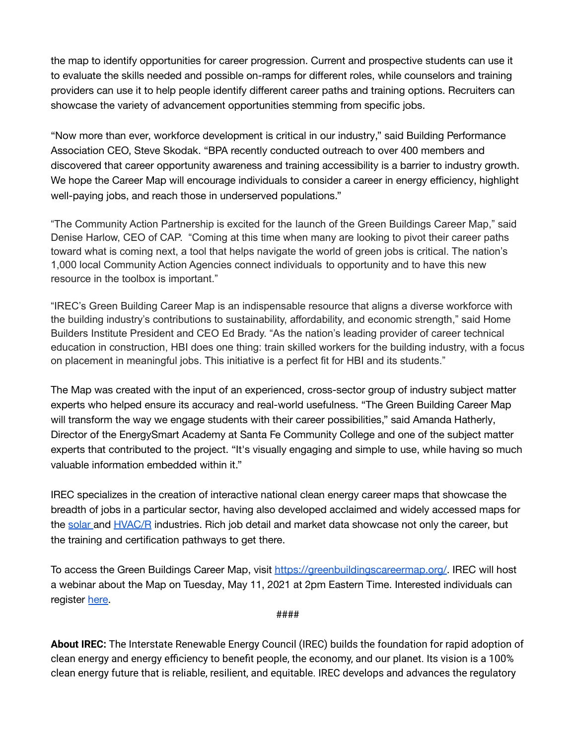the map to identify opportunities for career progression. Current and prospective students can use it to evaluate the skills needed and possible on-ramps for different roles, while counselors and training providers can use it to help people identify different career paths and training options. Recruiters can showcase the variety of advancement opportunities stemming from specific jobs.

"Now more than ever, workforce development is critical in our industry," said Building Performance Association CEO, Steve Skodak. "BPA recently conducted outreach to over 400 members and discovered that career opportunity awareness and training accessibility is a barrier to industry growth. We hope the Career Map will encourage individuals to consider a career in energy efficiency, highlight well-paying jobs, and reach those in underserved populations."

"The Community Action Partnership is excited for the launch of the Green Buildings Career Map," said Denise Harlow, CEO of CAP. "Coming at this time when many are looking to pivot their career paths toward what is coming next, a tool that helps navigate the world of green jobs is critical. The nation's 1,000 local Community Action Agencies connect individuals to opportunity and to have this new resource in the toolbox is important."

"IREC's Green Building Career Map is an indispensable resource that aligns a diverse workforce with the building industry's contributions to sustainability, affordability, and economic strength," said Home Builders Institute President and CEO Ed Brady. "As the nation's leading provider of career technical education in construction, HBI does one thing: train skilled workers for the building industry, with a focus on placement in meaningful jobs. This initiative is a perfect fit for HBI and its students."

The Map was created with the input of an experienced, cross-sector group of industry subject matter experts who helped ensure its accuracy and real-world usefulness. "The Green Building Career Map will transform the way we engage students with their career possibilities," said Amanda Hatherly, Director of the EnergySmart Academy at Santa Fe Community College and one of the subject matter experts that contributed to the project. "It's visually engaging and simple to use, while having so much valuable information embedded within it."

IREC specializes in the creation of interactive national clean energy career maps that showcase the breadth of jobs in a particular sector, having also developed acclaimed and widely accessed maps for the [solar](https://www.irecsolarcareermap.org/) and [HVAC/R](https://hvaccareermap.org/) industries. Rich job detail and market data showcase not only the career, but the training and certification pathways to get there.

To access the Green Buildings Career Map, visit <https://greenbuildingscareermap.org/>. IREC will host a webinar about the Map on Tuesday, May 11, 2021 at 2pm Eastern Time. Interested individuals can register [here.](https://irecusa.zoom.us/webinar/register/7016170518416/WN_r1VppdFkQtWWTRwQKDkr_g)

####

**About IREC:** The Interstate Renewable Energy Council (IREC) builds the foundation for rapid adoption of clean energy and energy efficiency to benefit people, the economy, and our planet. Its vision is a 100% clean energy future that is reliable, resilient, and equitable. IREC develops and advances the regulatory